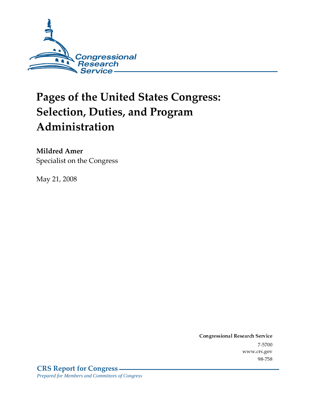

# **Pages of the United States Congress: Selection, Duties, and Program** Administration

Mildred Amer Specialist on the Congress

May 21, 2008

Conglessional Research Service  $7 - 2700$ www.crs.gov

 $70 - 700$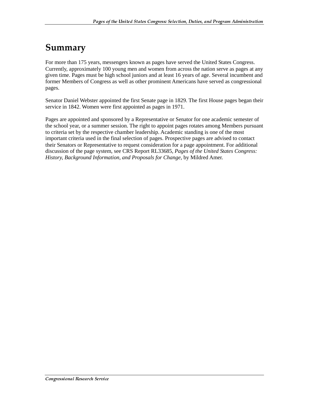#### Summary

For more than 175 years, messengers known as pages have served the United States Congress. Currently, approximately 100 young men and women from across the nation serve as pages at any given time. Pages must be high school juniors and at least 16 years of age. Several incumbent and former Members of Congress as well as other prominent Americans have served as congressional pages.

Senator Daniel Webster appointed the first Senate page in 1829. The first House pages began their service in 1842. Women were first appointed as pages in 1971.

Pages are appointed and sponsored by a Representative or Senator for one academic semester of the school year, or a summer session. The right to appoint pages rotates among Members pursuant to criteria set by the respective chamber leadership. Academic standing is one of the most important criteria used in the final selection of pages. Prospective pages are advised to contact their Senators or Representative to request consideration for a page appointment. For additional discussion of the page system, see CRS Report RL33685, *Pages of the United States Congress: History, Background Information, and Proposals for Change*, by Mildred Amer.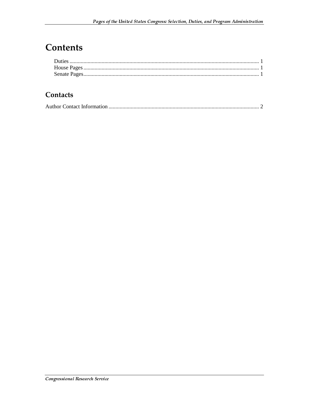#### **Contents**

#### Contacts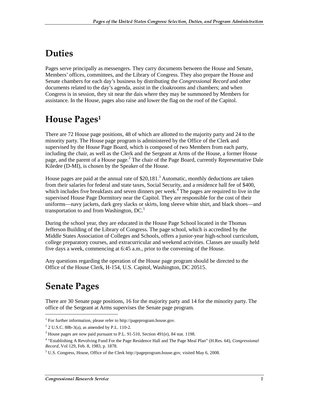### **Duties**

Pages serve principally as messengers. They carry documents between the House and Senate, Members' offices, committees, and the Library of Congress. They also prepare the House and Senate chambers for each day's business by distributing the *Congressional Record* and other documents related to the day's agenda, assist in the cloakrooms and chambers; and when Congress is in session, they sit near the dais where they may be summoned by Members for assistance. In the House, pages also raise and lower the flag on the roof of the Capitol.

## House Pages $^{\rm 1}$

There are 72 House page positions, 48 of which are allotted to the majority party and 24 to the minority party. The House page program is administered by the Office of the Clerk and supervised by the House Page Board, which is composed of two Members from each party, including the chair, as well as the Clerk and the Sergeant at Arms of the House, a former House page, and the parent of a House page.<sup>2</sup> The chair of the Page Board, currently Representative Dale Kiledee (D-MI), is chosen by the Speaker of the House.

House pages are paid at the annual rate of  $$20,181$ .<sup>3</sup> Automatic, monthly deductions are taken from their salaries for federal and state taxes, Social Security, and a residence hall fee of \$400, which includes five breakfasts and seven dinners per week.<sup>4</sup> The pages are required to live in the supervised House Page Dormitory near the Capitol. They are responsible for the cost of their uniforms—navy jackets, dark grey slacks or skirts, long sleeve white shirt, and black shoes—and transportation to and from Washington, DC.<sup>5</sup>

During the school year, they are educated in the House Page School located in the Thomas Jefferson Building of the Library of Congress. The page school, which is accredited by the Middle States Association of Colleges and Schools, offers a junior-year high-school curriculum, college preparatory courses, and extracurricular and weekend activities. Classes are usually held five days a week, commencing at 6:45 a.m., prior to the convening of the House.

Any questions regarding the operation of the House page program should be directed to the Office of the House Clerk, H-154, U.S. Capitol, Washington, DC 20515.

### **Senate Pages**

 $\overline{a}$ 

There are 30 Senate page positions, 16 for the majority party and 14 for the minority party. The office of the Sergeant at Arms supervises the Senate page program.

<sup>&</sup>lt;sup>1</sup> For further information, please refer to http://pageprogram.house.gov.

 $2^{2}$  2 U.S.C. 88b-3(a), as amended by P.L. 110-2.

<sup>&</sup>lt;sup>3</sup> House pages are now paid pursuant to P.L. 91-510, Section 491(e), 84 stat. 1198.

<sup>4</sup> "Establishing A Revolving Fund For the Page Residence Hall and The Page Meal Plan" (H.Res. 64), *Congressional Record*, Vol 129, Feb. 8, 1983, p. 1878.

<sup>&</sup>lt;sup>5</sup> U.S. Congress, House, Office of the Clerk http://pageprogram.house.gov, visited May 6, 2008.